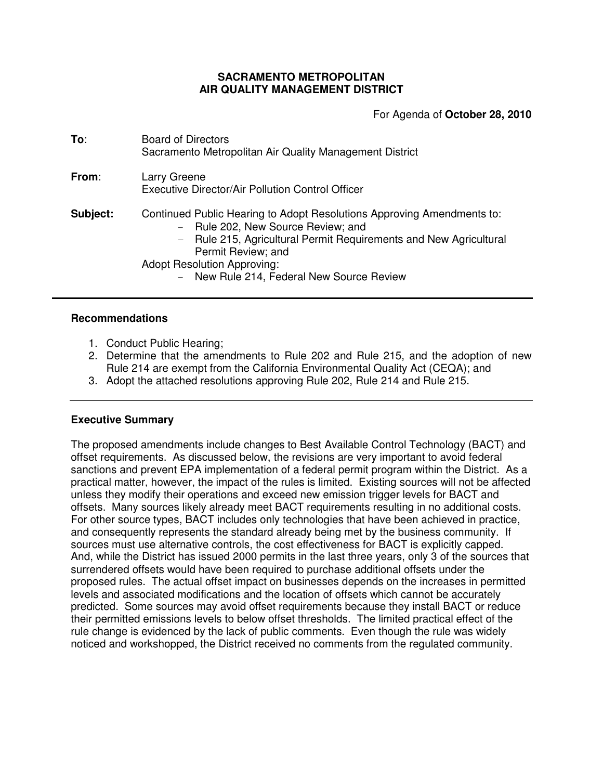## **SACRAMENTO METROPOLITAN AIR QUALITY MANAGEMENT DISTRICT**

For Agenda of **October 28, 2010**

| To:      | <b>Board of Directors</b><br>Sacramento Metropolitan Air Quality Management District                                                                                                                                                                                                     |
|----------|------------------------------------------------------------------------------------------------------------------------------------------------------------------------------------------------------------------------------------------------------------------------------------------|
| From:    | Larry Greene<br>Executive Director/Air Pollution Control Officer                                                                                                                                                                                                                         |
| Subject: | Continued Public Hearing to Adopt Resolutions Approving Amendments to:<br>- Rule 202, New Source Review; and<br>- Rule 215, Agricultural Permit Requirements and New Agricultural<br>Permit Review; and<br><b>Adopt Resolution Approving:</b><br>New Rule 214, Federal New Source Review |

# **Recommendations**

- 1. Conduct Public Hearing;
- 2. Determine that the amendments to Rule 202 and Rule 215, and the adoption of new Rule 214 are exempt from the California Environmental Quality Act (CEQA); and
- 3. Adopt the attached resolutions approving Rule 202, Rule 214 and Rule 215.

# **Executive Summary**

The proposed amendments include changes to Best Available Control Technology (BACT) and offset requirements. As discussed below, the revisions are very important to avoid federal sanctions and prevent EPA implementation of a federal permit program within the District. As a practical matter, however, the impact of the rules is limited. Existing sources will not be affected unless they modify their operations and exceed new emission trigger levels for BACT and offsets. Many sources likely already meet BACT requirements resulting in no additional costs. For other source types, BACT includes only technologies that have been achieved in practice, and consequently represents the standard already being met by the business community. If sources must use alternative controls, the cost effectiveness for BACT is explicitly capped. And, while the District has issued 2000 permits in the last three years, only 3 of the sources that surrendered offsets would have been required to purchase additional offsets under the proposed rules. The actual offset impact on businesses depends on the increases in permitted levels and associated modifications and the location of offsets which cannot be accurately predicted. Some sources may avoid offset requirements because they install BACT or reduce their permitted emissions levels to below offset thresholds. The limited practical effect of the rule change is evidenced by the lack of public comments. Even though the rule was widely noticed and workshopped, the District received no comments from the regulated community.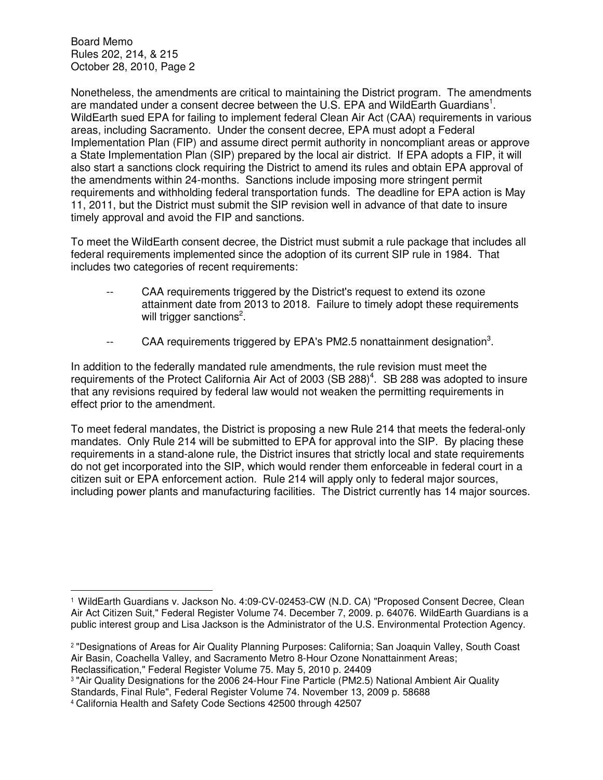Nonetheless, the amendments are critical to maintaining the District program. The amendments are mandated under a consent decree between the U.S. EPA and WildEarth Guardians<sup>1</sup>. WildEarth sued EPA for failing to implement federal Clean Air Act (CAA) requirements in various areas, including Sacramento. Under the consent decree, EPA must adopt a Federal Implementation Plan (FIP) and assume direct permit authority in noncompliant areas or approve a State Implementation Plan (SIP) prepared by the local air district. If EPA adopts a FIP, it will also start a sanctions clock requiring the District to amend its rules and obtain EPA approval of the amendments within 24-months. Sanctions include imposing more stringent permit requirements and withholding federal transportation funds. The deadline for EPA action is May 11, 2011, but the District must submit the SIP revision well in advance of that date to insure timely approval and avoid the FIP and sanctions.

To meet the WildEarth consent decree, the District must submit a rule package that includes all federal requirements implemented since the adoption of its current SIP rule in 1984. That includes two categories of recent requirements:

- -- CAA requirements triggered by the District's request to extend its ozone attainment date from 2013 to 2018. Failure to timely adopt these requirements will trigger sanctions<sup>2</sup>.
- -- CAA requirements triggered by EPA's PM2.5 nonattainment designation<sup>3</sup>.

In addition to the federally mandated rule amendments, the rule revision must meet the requirements of the Protect California Air Act of 2003 (SB 288)<sup>4</sup>. SB 288 was adopted to insure that any revisions required by federal law would not weaken the permitting requirements in effect prior to the amendment.

To meet federal mandates, the District is proposing a new Rule 214 that meets the federal-only mandates. Only Rule 214 will be submitted to EPA for approval into the SIP. By placing these requirements in a stand-alone rule, the District insures that strictly local and state requirements do not get incorporated into the SIP, which would render them enforceable in federal court in a citizen suit or EPA enforcement action. Rule 214 will apply only to federal major sources, including power plants and manufacturing facilities. The District currently has 14 major sources.

l.

<sup>&</sup>lt;sup>1</sup> WildEarth Guardians v. Jackson No. 4:09-CV-02453-CW (N.D. CA) "Proposed Consent Decree, Clean Air Act Citizen Suit," Federal Register Volume 74. December 7, 2009. p. 64076. WildEarth Guardians is a public interest group and Lisa Jackson is the Administrator of the U.S. Environmental Protection Agency.

<sup>2</sup> "Designations of Areas for Air Quality Planning Purposes: California; San Joaquin Valley, South Coast Air Basin, Coachella Valley, and Sacramento Metro 8-Hour Ozone Nonattainment Areas;

Reclassification," Federal Register Volume 75. May 5, 2010 p. 24409

<sup>3</sup> "Air Quality Designations for the 2006 24-Hour Fine Particle (PM2.5) National Ambient Air Quality Standards, Final Rule", Federal Register Volume 74. November 13, 2009 p. 58688

<sup>4</sup> California Health and Safety Code Sections 42500 through 42507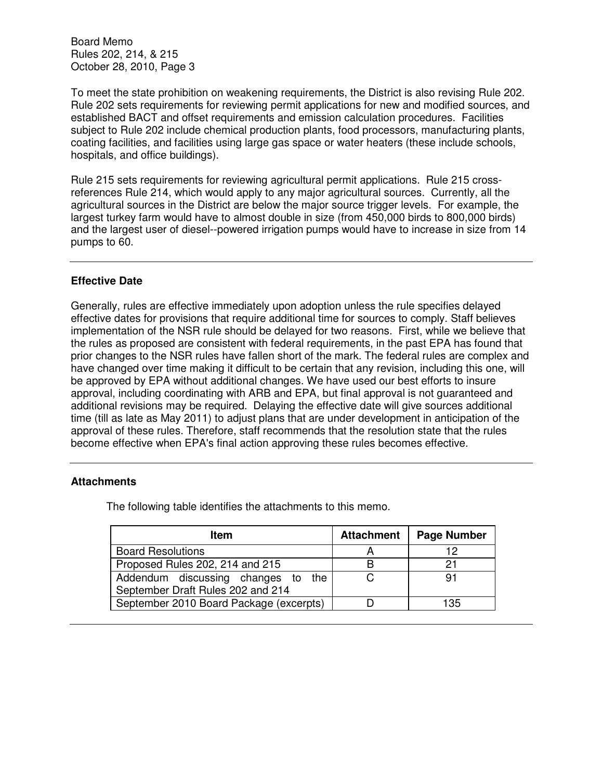To meet the state prohibition on weakening requirements, the District is also revising Rule 202. Rule 202 sets requirements for reviewing permit applications for new and modified sources, and established BACT and offset requirements and emission calculation procedures. Facilities subject to Rule 202 include chemical production plants, food processors, manufacturing plants, coating facilities, and facilities using large gas space or water heaters (these include schools, hospitals, and office buildings).

Rule 215 sets requirements for reviewing agricultural permit applications. Rule 215 crossreferences Rule 214, which would apply to any major agricultural sources. Currently, all the agricultural sources in the District are below the major source trigger levels. For example, the largest turkey farm would have to almost double in size (from 450,000 birds to 800,000 birds) and the largest user of diesel--powered irrigation pumps would have to increase in size from 14 pumps to 60.

# **Effective Date**

Generally, rules are effective immediately upon adoption unless the rule specifies delayed effective dates for provisions that require additional time for sources to comply. Staff believes implementation of the NSR rule should be delayed for two reasons. First, while we believe that the rules as proposed are consistent with federal requirements, in the past EPA has found that prior changes to the NSR rules have fallen short of the mark. The federal rules are complex and have changed over time making it difficult to be certain that any revision, including this one, will be approved by EPA without additional changes. We have used our best efforts to insure approval, including coordinating with ARB and EPA, but final approval is not guaranteed and additional revisions may be required. Delaying the effective date will give sources additional time (till as late as May 2011) to adjust plans that are under development in anticipation of the approval of these rules. Therefore, staff recommends that the resolution state that the rules become effective when EPA's final action approving these rules becomes effective.

### **Attachments**

The following table identifies the attachments to this memo.

| <b>Item</b>                                                             | <b>Attachment</b> | <b>Page Number</b> |
|-------------------------------------------------------------------------|-------------------|--------------------|
| <b>Board Resolutions</b>                                                |                   | 12                 |
| Proposed Rules 202, 214 and 215                                         |                   | 21                 |
| Addendum discussing changes to the<br>September Draft Rules 202 and 214 |                   | 91                 |
| September 2010 Board Package (excerpts)                                 |                   | 135                |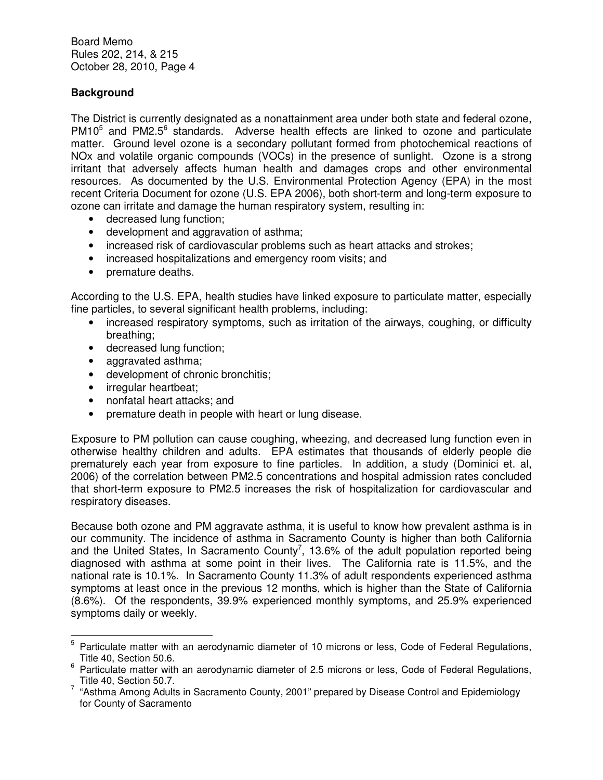# **Background**

The District is currently designated as a nonattainment area under both state and federal ozone, PM10<sup>5</sup> and PM2.5<sup>6</sup> standards. Adverse health effects are linked to ozone and particulate matter. Ground level ozone is a secondary pollutant formed from photochemical reactions of NOx and volatile organic compounds (VOCs) in the presence of sunlight. Ozone is a strong irritant that adversely affects human health and damages crops and other environmental resources. As documented by the U.S. Environmental Protection Agency (EPA) in the most recent Criteria Document for ozone (U.S. EPA 2006), both short-term and long-term exposure to ozone can irritate and damage the human respiratory system, resulting in:

- decreased lung function;
- development and aggravation of asthma;
- increased risk of cardiovascular problems such as heart attacks and strokes;
- increased hospitalizations and emergency room visits; and
- premature deaths.

According to the U.S. EPA, health studies have linked exposure to particulate matter, especially fine particles, to several significant health problems, including:

- increased respiratory symptoms, such as irritation of the airways, coughing, or difficulty breathing;
- decreased lung function;
- aggravated asthma;
- development of chronic bronchitis;
- irregular heartbeat:

 $\overline{a}$ 

- nonfatal heart attacks; and
- premature death in people with heart or lung disease.

Exposure to PM pollution can cause coughing, wheezing, and decreased lung function even in otherwise healthy children and adults. EPA estimates that thousands of elderly people die prematurely each year from exposure to fine particles. In addition, a study (Dominici et. al, 2006) of the correlation between PM2.5 concentrations and hospital admission rates concluded that short-term exposure to PM2.5 increases the risk of hospitalization for cardiovascular and respiratory diseases.

Because both ozone and PM aggravate asthma, it is useful to know how prevalent asthma is in our community. The incidence of asthma in Sacramento County is higher than both California and the United States, In Sacramento County<sup>7</sup>, 13.6% of the adult population reported being diagnosed with asthma at some point in their lives. The California rate is 11.5%, and the national rate is 10.1%. In Sacramento County 11.3% of adult respondents experienced asthma symptoms at least once in the previous 12 months, which is higher than the State of California (8.6%). Of the respondents, 39.9% experienced monthly symptoms, and 25.9% experienced symptoms daily or weekly.

<sup>&</sup>lt;sup>5</sup> Particulate matter with an aerodynamic diameter of 10 microns or less, Code of Federal Regulations, Title 40, Section 50.6.

<sup>&</sup>lt;sup>6</sup> Particulate matter with an aerodynamic diameter of 2.5 microns or less, Code of Federal Regulations, Title 40, Section 50.7.

 $7$  "Asthma Among Adults in Sacramento County, 2001" prepared by Disease Control and Epidemiology for County of Sacramento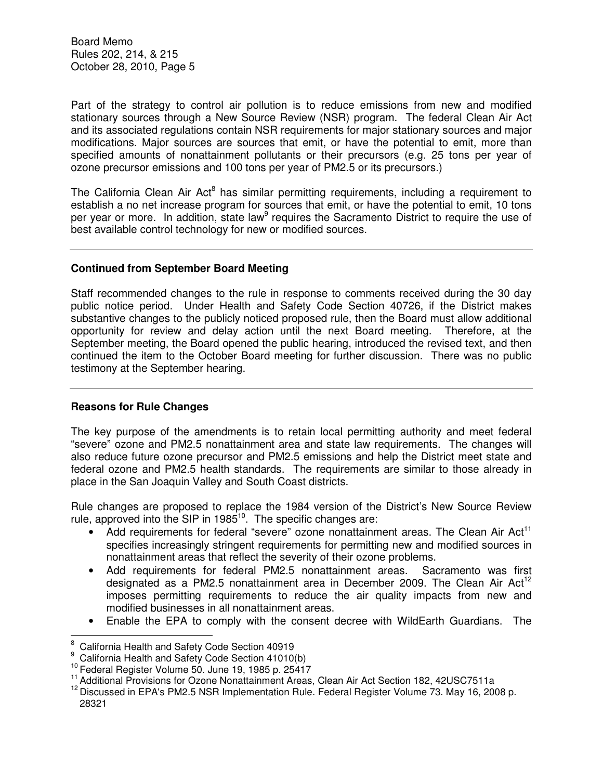Part of the strategy to control air pollution is to reduce emissions from new and modified stationary sources through a New Source Review (NSR) program. The federal Clean Air Act and its associated regulations contain NSR requirements for major stationary sources and major modifications. Major sources are sources that emit, or have the potential to emit, more than specified amounts of nonattainment pollutants or their precursors (e.g. 25 tons per year of ozone precursor emissions and 100 tons per year of PM2.5 or its precursors.)

The California Clean Air Act<sup>8</sup> has similar permitting requirements, including a requirement to establish a no net increase program for sources that emit, or have the potential to emit, 10 tons per year or more. In addition, state law<sup>9</sup> requires the Sacramento District to require the use of best available control technology for new or modified sources.

# **Continued from September Board Meeting**

Staff recommended changes to the rule in response to comments received during the 30 day public notice period. Under Health and Safety Code Section 40726, if the District makes substantive changes to the publicly noticed proposed rule, then the Board must allow additional opportunity for review and delay action until the next Board meeting. Therefore, at the September meeting, the Board opened the public hearing, introduced the revised text, and then continued the item to the October Board meeting for further discussion. There was no public testimony at the September hearing.

# **Reasons for Rule Changes**

 $\overline{a}$ 

The key purpose of the amendments is to retain local permitting authority and meet federal "severe" ozone and PM2.5 nonattainment area and state law requirements. The changes will also reduce future ozone precursor and PM2.5 emissions and help the District meet state and federal ozone and PM2.5 health standards. The requirements are similar to those already in place in the San Joaquin Valley and South Coast districts.

Rule changes are proposed to replace the 1984 version of the District's New Source Review rule, approved into the SIP in 1985<sup>10</sup>. The specific changes are:

- Add requirements for federal "severe" ozone nonattainment areas. The Clean Air Act<sup>11</sup> specifies increasingly stringent requirements for permitting new and modified sources in nonattainment areas that reflect the severity of their ozone problems.
- Add requirements for federal PM2.5 nonattainment areas. Sacramento was first designated as a PM2.5 nonattainment area in December 2009. The Clean Air Act<sup>12</sup> imposes permitting requirements to reduce the air quality impacts from new and modified businesses in all nonattainment areas.
- Enable the EPA to comply with the consent decree with WildEarth Guardians. The

<sup>8</sup> California Health and Safety Code Section 40919

<sup>9</sup> California Health and Safety Code Section 41010(b)

<sup>10</sup> Federal Register Volume 50. June 19, 1985 p. 25417

<sup>&</sup>lt;sup>11</sup> Additional Provisions for Ozone Nonattainment Areas, Clean Air Act Section 182, 42USC7511a

<sup>&</sup>lt;sup>12</sup> Discussed in EPA's PM2.5 NSR Implementation Rule. Federal Register Volume 73. May 16, 2008 p. 28321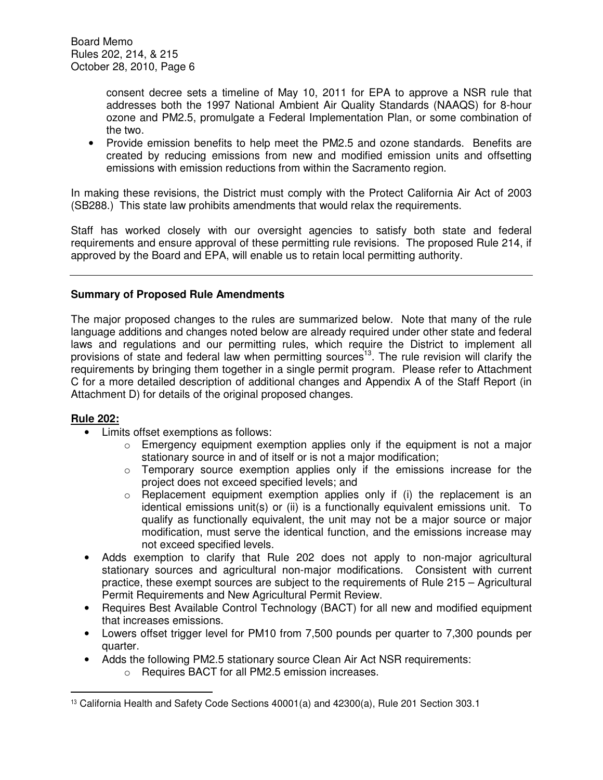consent decree sets a timeline of May 10, 2011 for EPA to approve a NSR rule that addresses both the 1997 National Ambient Air Quality Standards (NAAQS) for 8-hour ozone and PM2.5, promulgate a Federal Implementation Plan, or some combination of the two.

• Provide emission benefits to help meet the PM2.5 and ozone standards. Benefits are created by reducing emissions from new and modified emission units and offsetting emissions with emission reductions from within the Sacramento region.

In making these revisions, the District must comply with the Protect California Air Act of 2003 (SB288.) This state law prohibits amendments that would relax the requirements.

Staff has worked closely with our oversight agencies to satisfy both state and federal requirements and ensure approval of these permitting rule revisions. The proposed Rule 214, if approved by the Board and EPA, will enable us to retain local permitting authority.

### **Summary of Proposed Rule Amendments**

The major proposed changes to the rules are summarized below. Note that many of the rule language additions and changes noted below are already required under other state and federal laws and regulations and our permitting rules, which require the District to implement all provisions of state and federal law when permitting sources<sup>13</sup>. The rule revision will clarify the requirements by bringing them together in a single permit program. Please refer to Attachment C for a more detailed description of additional changes and Appendix A of the Staff Report (in Attachment D) for details of the original proposed changes.

### **Rule 202:**

l.

- Limits offset exemptions as follows:
	- o Emergency equipment exemption applies only if the equipment is not a major stationary source in and of itself or is not a major modification;
	- $\circ$  Temporary source exemption applies only if the emissions increase for the project does not exceed specified levels; and
	- $\circ$  Replacement equipment exemption applies only if (i) the replacement is an identical emissions unit(s) or (ii) is a functionally equivalent emissions unit. To qualify as functionally equivalent, the unit may not be a major source or major modification, must serve the identical function, and the emissions increase may not exceed specified levels.
- Adds exemption to clarify that Rule 202 does not apply to non-major agricultural stationary sources and agricultural non-major modifications. Consistent with current practice, these exempt sources are subject to the requirements of Rule 215 – Agricultural Permit Requirements and New Agricultural Permit Review.
- Requires Best Available Control Technology (BACT) for all new and modified equipment that increases emissions.
- Lowers offset trigger level for PM10 from 7,500 pounds per quarter to 7,300 pounds per quarter.
- Adds the following PM2.5 stationary source Clean Air Act NSR requirements:
	- o Requires BACT for all PM2.5 emission increases.

<sup>13</sup> California Health and Safety Code Sections 40001(a) and 42300(a), Rule 201 Section 303.1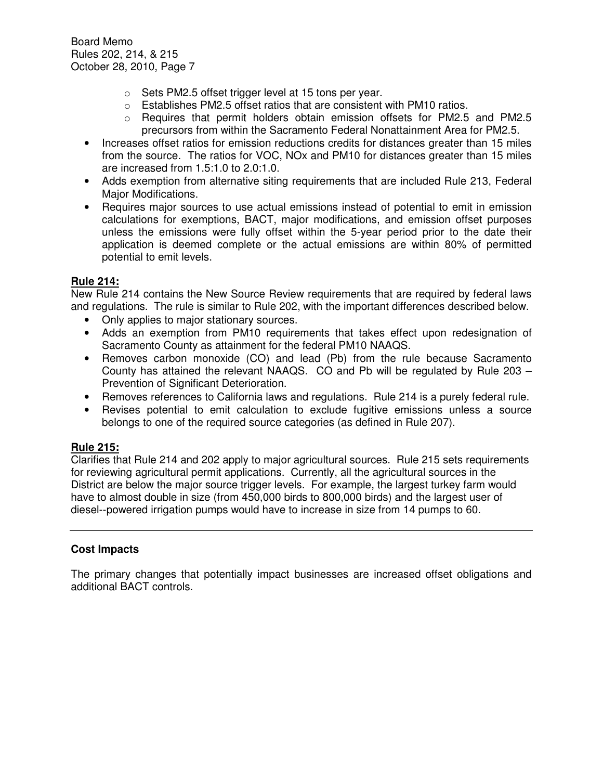- o Sets PM2.5 offset trigger level at 15 tons per year.
- $\circ$  Establishes PM2.5 offset ratios that are consistent with PM10 ratios.
- o Requires that permit holders obtain emission offsets for PM2.5 and PM2.5 precursors from within the Sacramento Federal Nonattainment Area for PM2.5.
- Increases offset ratios for emission reductions credits for distances greater than 15 miles from the source. The ratios for VOC, NOx and PM10 for distances greater than 15 miles are increased from 1.5:1.0 to 2.0:1.0.
- Adds exemption from alternative siting requirements that are included Rule 213, Federal Major Modifications.
- Requires major sources to use actual emissions instead of potential to emit in emission calculations for exemptions, BACT, major modifications, and emission offset purposes unless the emissions were fully offset within the 5-year period prior to the date their application is deemed complete or the actual emissions are within 80% of permitted potential to emit levels.

# **Rule 214:**

New Rule 214 contains the New Source Review requirements that are required by federal laws and regulations. The rule is similar to Rule 202, with the important differences described below.

- Only applies to major stationary sources.
- Adds an exemption from PM10 requirements that takes effect upon redesignation of Sacramento County as attainment for the federal PM10 NAAQS.
- Removes carbon monoxide (CO) and lead (Pb) from the rule because Sacramento County has attained the relevant NAAQS. CO and Pb will be regulated by Rule 203 – Prevention of Significant Deterioration.
- Removes references to California laws and regulations. Rule 214 is a purely federal rule.
- Revises potential to emit calculation to exclude fugitive emissions unless a source belongs to one of the required source categories (as defined in Rule 207).

# **Rule 215:**

Clarifies that Rule 214 and 202 apply to major agricultural sources. Rule 215 sets requirements for reviewing agricultural permit applications. Currently, all the agricultural sources in the District are below the major source trigger levels. For example, the largest turkey farm would have to almost double in size (from 450,000 birds to 800,000 birds) and the largest user of diesel--powered irrigation pumps would have to increase in size from 14 pumps to 60.

# **Cost Impacts**

The primary changes that potentially impact businesses are increased offset obligations and additional BACT controls.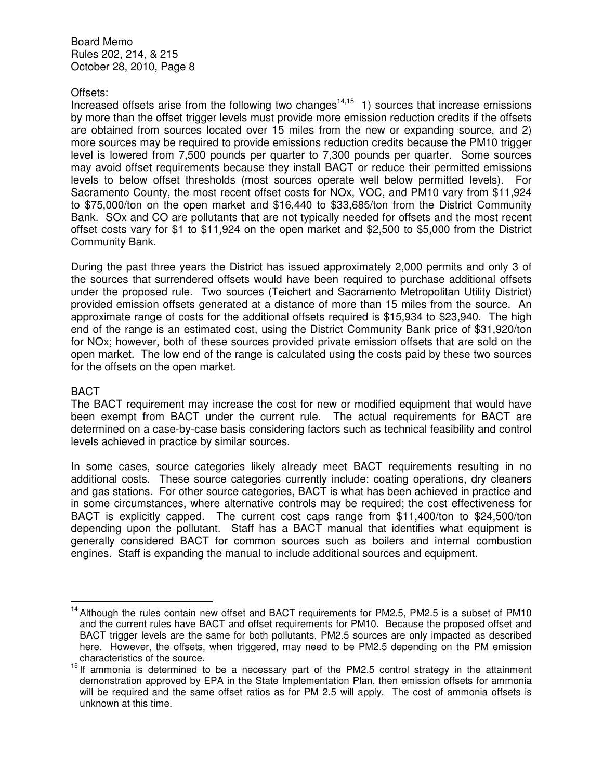### Offsets:

Increased offsets arise from the following two changes<sup>14,15</sup> 1) sources that increase emissions by more than the offset trigger levels must provide more emission reduction credits if the offsets are obtained from sources located over 15 miles from the new or expanding source, and 2) more sources may be required to provide emissions reduction credits because the PM10 trigger level is lowered from 7,500 pounds per quarter to 7,300 pounds per quarter. Some sources may avoid offset requirements because they install BACT or reduce their permitted emissions levels to below offset thresholds (most sources operate well below permitted levels). For Sacramento County, the most recent offset costs for NOx, VOC, and PM10 vary from \$11,924 to \$75,000/ton on the open market and \$16,440 to \$33,685/ton from the District Community Bank. SOx and CO are pollutants that are not typically needed for offsets and the most recent offset costs vary for \$1 to \$11,924 on the open market and \$2,500 to \$5,000 from the District Community Bank.

During the past three years the District has issued approximately 2,000 permits and only 3 of the sources that surrendered offsets would have been required to purchase additional offsets under the proposed rule. Two sources (Teichert and Sacramento Metropolitan Utility District) provided emission offsets generated at a distance of more than 15 miles from the source. An approximate range of costs for the additional offsets required is \$15,934 to \$23,940. The high end of the range is an estimated cost, using the District Community Bank price of \$31,920/ton for NOx; however, both of these sources provided private emission offsets that are sold on the open market. The low end of the range is calculated using the costs paid by these two sources for the offsets on the open market.

## BACT

l.

The BACT requirement may increase the cost for new or modified equipment that would have been exempt from BACT under the current rule. The actual requirements for BACT are determined on a case-by-case basis considering factors such as technical feasibility and control levels achieved in practice by similar sources.

In some cases, source categories likely already meet BACT requirements resulting in no additional costs. These source categories currently include: coating operations, dry cleaners and gas stations. For other source categories, BACT is what has been achieved in practice and in some circumstances, where alternative controls may be required; the cost effectiveness for BACT is explicitly capped. The current cost caps range from \$11,400/ton to \$24,500/ton depending upon the pollutant. Staff has a BACT manual that identifies what equipment is generally considered BACT for common sources such as boilers and internal combustion engines. Staff is expanding the manual to include additional sources and equipment.

 $14$  Although the rules contain new offset and BACT requirements for PM2.5, PM2.5 is a subset of PM10 and the current rules have BACT and offset requirements for PM10. Because the proposed offset and BACT trigger levels are the same for both pollutants, PM2.5 sources are only impacted as described here. However, the offsets, when triggered, may need to be PM2.5 depending on the PM emission characteristics of the source.

<sup>&</sup>lt;sup>15</sup> If ammonia is determined to be a necessary part of the PM2.5 control strategy in the attainment demonstration approved by EPA in the State Implementation Plan, then emission offsets for ammonia will be required and the same offset ratios as for PM 2.5 will apply. The cost of ammonia offsets is unknown at this time.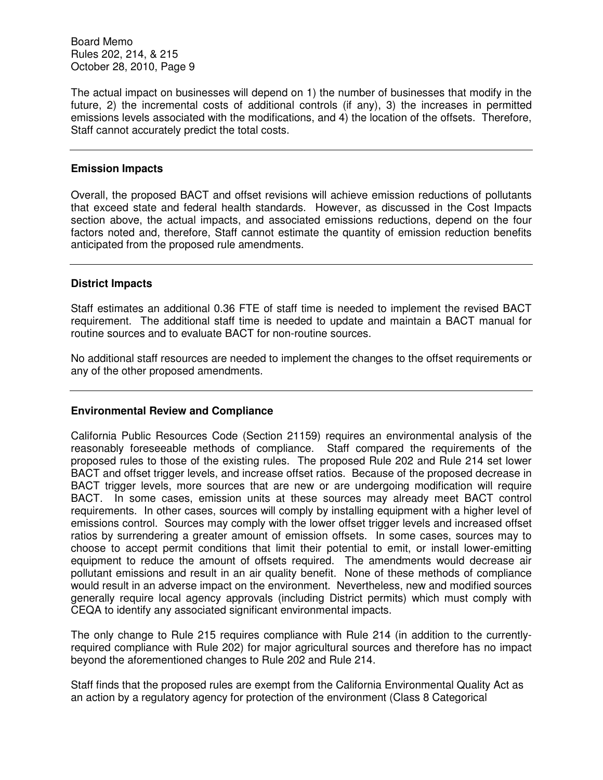The actual impact on businesses will depend on 1) the number of businesses that modify in the future, 2) the incremental costs of additional controls (if any), 3) the increases in permitted emissions levels associated with the modifications, and 4) the location of the offsets. Therefore, Staff cannot accurately predict the total costs.

#### **Emission Impacts**

Overall, the proposed BACT and offset revisions will achieve emission reductions of pollutants that exceed state and federal health standards. However, as discussed in the Cost Impacts section above, the actual impacts, and associated emissions reductions, depend on the four factors noted and, therefore, Staff cannot estimate the quantity of emission reduction benefits anticipated from the proposed rule amendments.

### **District Impacts**

Staff estimates an additional 0.36 FTE of staff time is needed to implement the revised BACT requirement. The additional staff time is needed to update and maintain a BACT manual for routine sources and to evaluate BACT for non-routine sources.

No additional staff resources are needed to implement the changes to the offset requirements or any of the other proposed amendments.

### **Environmental Review and Compliance**

California Public Resources Code (Section 21159) requires an environmental analysis of the reasonably foreseeable methods of compliance. Staff compared the requirements of the proposed rules to those of the existing rules. The proposed Rule 202 and Rule 214 set lower BACT and offset trigger levels, and increase offset ratios. Because of the proposed decrease in BACT trigger levels, more sources that are new or are undergoing modification will require BACT. In some cases, emission units at these sources may already meet BACT control requirements. In other cases, sources will comply by installing equipment with a higher level of emissions control. Sources may comply with the lower offset trigger levels and increased offset ratios by surrendering a greater amount of emission offsets. In some cases, sources may to choose to accept permit conditions that limit their potential to emit, or install lower-emitting equipment to reduce the amount of offsets required. The amendments would decrease air pollutant emissions and result in an air quality benefit. None of these methods of compliance would result in an adverse impact on the environment. Nevertheless, new and modified sources generally require local agency approvals (including District permits) which must comply with CEQA to identify any associated significant environmental impacts.

The only change to Rule 215 requires compliance with Rule 214 (in addition to the currentlyrequired compliance with Rule 202) for major agricultural sources and therefore has no impact beyond the aforementioned changes to Rule 202 and Rule 214.

Staff finds that the proposed rules are exempt from the California Environmental Quality Act as an action by a regulatory agency for protection of the environment (Class 8 Categorical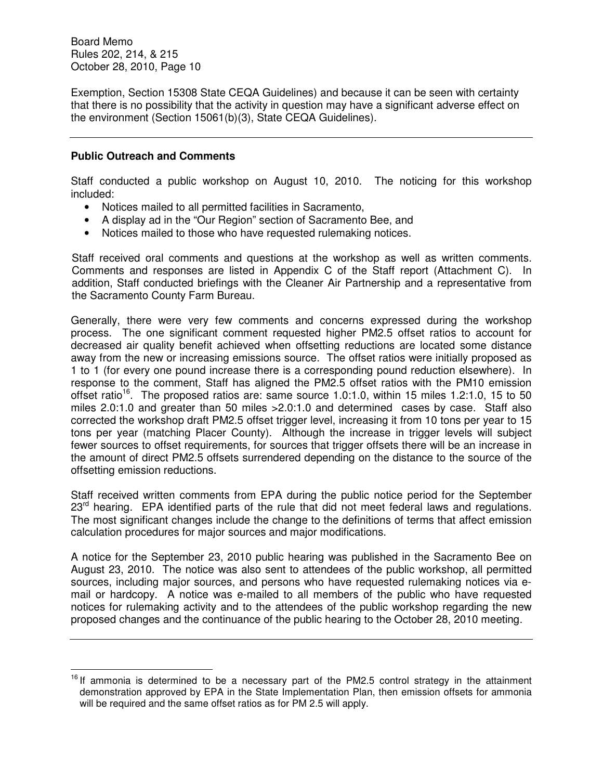Exemption, Section 15308 State CEQA Guidelines) and because it can be seen with certainty that there is no possibility that the activity in question may have a significant adverse effect on the environment (Section 15061(b)(3), State CEQA Guidelines).

## **Public Outreach and Comments**

l.

Staff conducted a public workshop on August 10, 2010. The noticing for this workshop included:

- Notices mailed to all permitted facilities in Sacramento,
- A display ad in the "Our Region" section of Sacramento Bee, and
- Notices mailed to those who have requested rulemaking notices.

Staff received oral comments and questions at the workshop as well as written comments. Comments and responses are listed in Appendix C of the Staff report (Attachment C). In addition, Staff conducted briefings with the Cleaner Air Partnership and a representative from the Sacramento County Farm Bureau.

Generally, there were very few comments and concerns expressed during the workshop process. The one significant comment requested higher PM2.5 offset ratios to account for decreased air quality benefit achieved when offsetting reductions are located some distance away from the new or increasing emissions source. The offset ratios were initially proposed as 1 to 1 (for every one pound increase there is a corresponding pound reduction elsewhere). In response to the comment, Staff has aligned the PM2.5 offset ratios with the PM10 emission offset ratio<sup>16</sup>. The proposed ratios are: same source 1.0:1.0, within 15 miles 1.2:1.0, 15 to 50 miles 2.0:1.0 and greater than 50 miles >2.0:1.0 and determined cases by case. Staff also corrected the workshop draft PM2.5 offset trigger level, increasing it from 10 tons per year to 15 tons per year (matching Placer County). Although the increase in trigger levels will subject fewer sources to offset requirements, for sources that trigger offsets there will be an increase in the amount of direct PM2.5 offsets surrendered depending on the distance to the source of the offsetting emission reductions.

Staff received written comments from EPA during the public notice period for the September 23<sup>rd</sup> hearing. EPA identified parts of the rule that did not meet federal laws and regulations. The most significant changes include the change to the definitions of terms that affect emission calculation procedures for major sources and major modifications.

A notice for the September 23, 2010 public hearing was published in the Sacramento Bee on August 23, 2010. The notice was also sent to attendees of the public workshop, all permitted sources, including major sources, and persons who have requested rulemaking notices via email or hardcopy. A notice was e-mailed to all members of the public who have requested notices for rulemaking activity and to the attendees of the public workshop regarding the new proposed changes and the continuance of the public hearing to the October 28, 2010 meeting.

 $16$  If ammonia is determined to be a necessary part of the PM2.5 control strategy in the attainment demonstration approved by EPA in the State Implementation Plan, then emission offsets for ammonia will be required and the same offset ratios as for PM 2.5 will apply.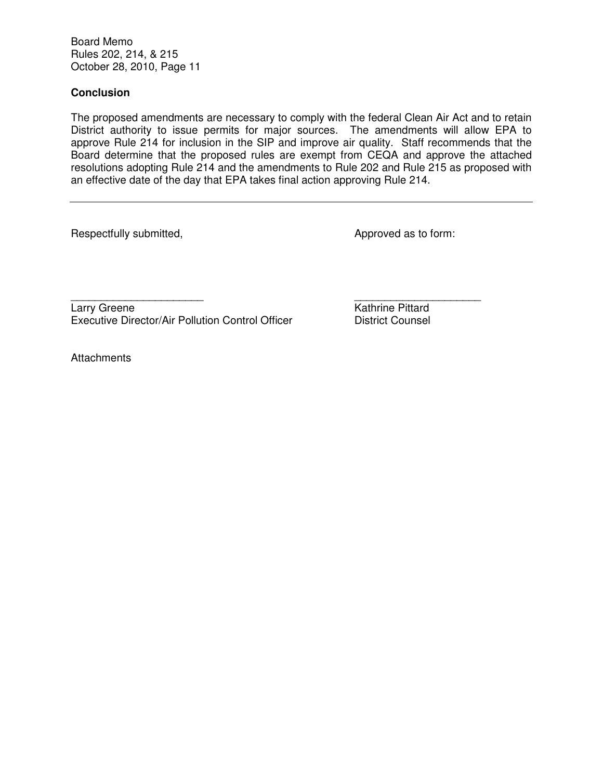# **Conclusion**

The proposed amendments are necessary to comply with the federal Clean Air Act and to retain District authority to issue permits for major sources. The amendments will allow EPA to approve Rule 214 for inclusion in the SIP and improve air quality. Staff recommends that the Board determine that the proposed rules are exempt from CEQA and approve the attached resolutions adopting Rule 214 and the amendments to Rule 202 and Rule 215 as proposed with an effective date of the day that EPA takes final action approving Rule 214.

Respectfully submitted,  $\blacksquare$ 

Larry Greene **Kathrine Pittard** Executive Director/Air Pollution Control Officer District Counsel

\_\_\_\_\_\_\_\_\_\_\_\_\_\_\_\_\_\_\_\_\_\_ \_\_\_\_\_\_\_\_\_\_\_\_\_\_\_\_\_\_\_\_\_

**Attachments**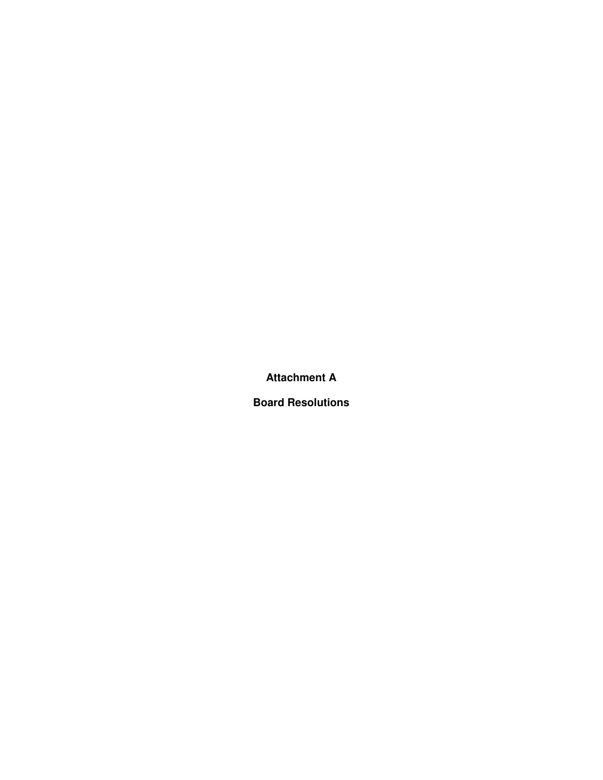**Attachment A** 

**Board Resolutions**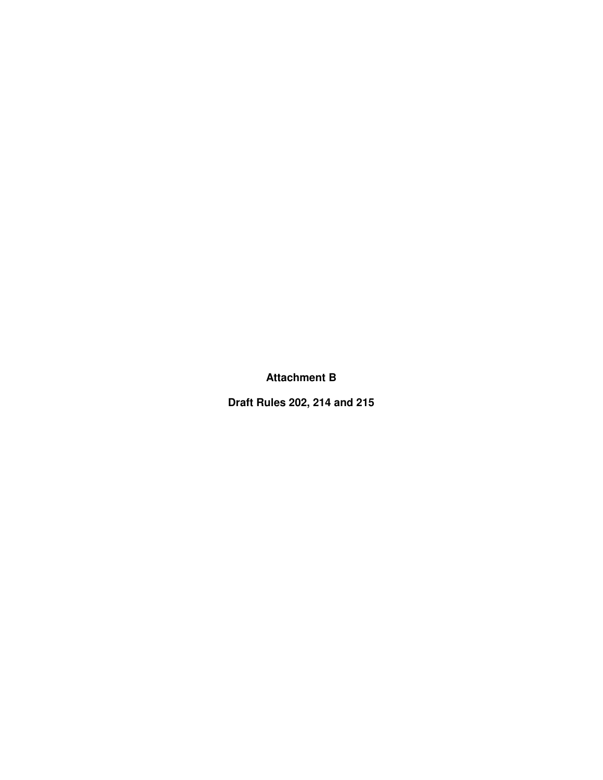**Attachment B** 

**Draft Rules 202, 214 and 215**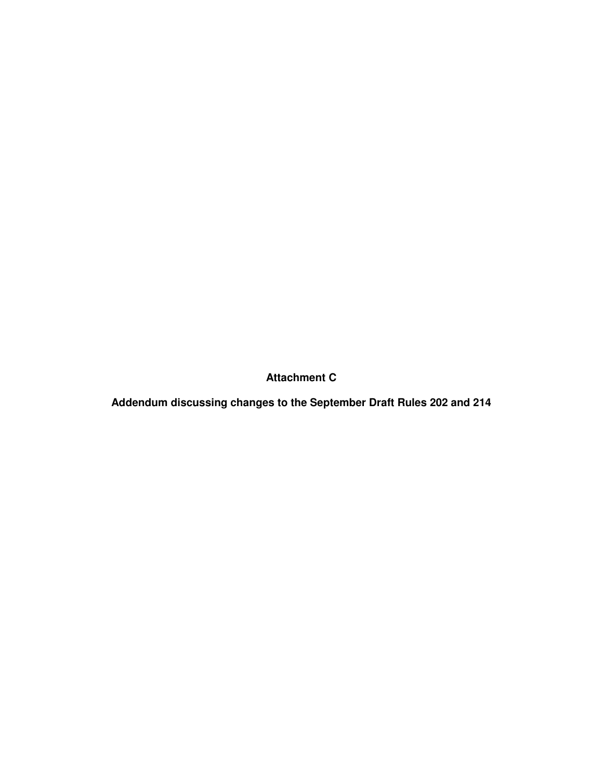**Attachment C** 

**Addendum discussing changes to the September Draft Rules 202 and 214**